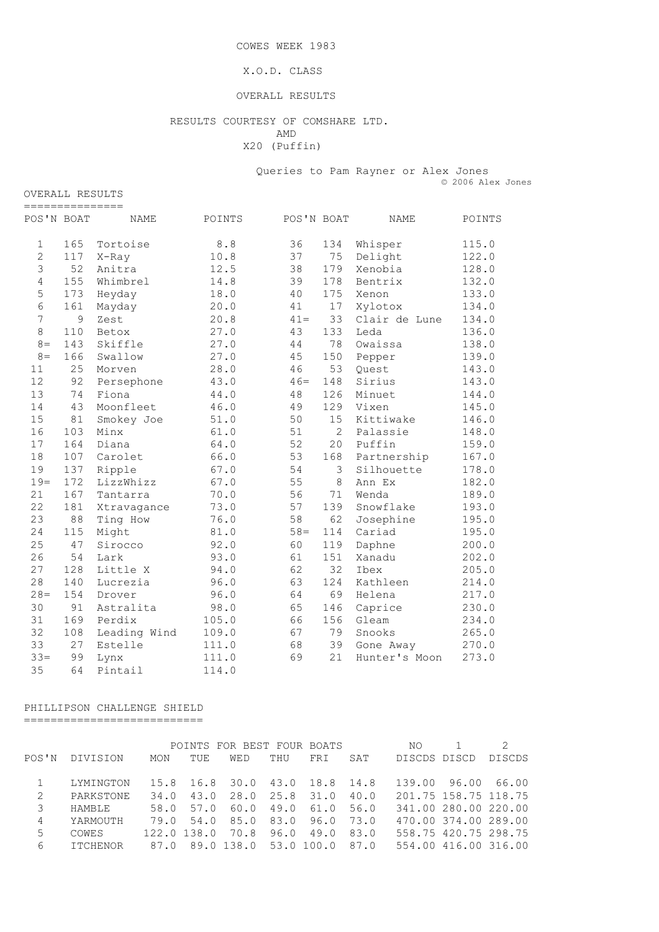COWES WEEK 1983

#### X.O.D. CLASS

#### OVERALL RESULTS

#### RESULTS COURTESY OF COMSHARE LTD. AMD

X20 (Puffin)

 Queries to Pam Rayner or Alex Jones © 2006 Alex Jones

| =============== |     |              |        |            |                |               |        |
|-----------------|-----|--------------|--------|------------|----------------|---------------|--------|
| POS'N BOAT      |     | NAME         | POINTS | POS'N BOAT |                | <b>NAME</b>   | POINTS |
| $\mathbf 1$     | 165 | Tortoise     | $8.8$  | 36         | 134            | Whisper       | 115.0  |
| $\overline{2}$  | 117 | X-Ray        | 10.8   | 37         | 75             | Delight       | 122.0  |
| 3               | 52  | Anitra       | 12.5   | 38         | 179            | Xenobia       | 128.0  |
| $\overline{4}$  | 155 | Whimbrel     | 14.8   | 39         | 178            | Bentrix       | 132.0  |
| 5               | 173 | Heyday       | 18.0   | 40         | 175            | Xenon         | 133.0  |
| 6               | 161 | Mayday       | 20.0   | 41         | 17             | Xylotox       | 134.0  |
| 7               | 9   | Zest         | 20.8   | $41 =$     | 33             | Clair de Lune | 134.0  |
| $\,8\,$         | 110 | Betox        | 27.0   | 43         | 133            | Leda          | 136.0  |
| $8 =$           | 143 | Skiffle      | 27.0   | 44         | 78             | Owaissa       | 138.0  |
| $8 =$           | 166 | Swallow      | 27.0   | 45         | 150            | Pepper        | 139.0  |
| 11              | 25  | Morven       | 28.0   | 46         | 53             | Ouest         | 143.0  |
| 12              | 92  | Persephone   | 43.0   | $46=$      | 148            | Sirius        | 143.0  |
| 13              | 74  | Fiona        | 44.0   | 48         | 126            | Minuet        | 144.0  |
| 14              | 43  | Moonfleet    | 46.0   | 49         | 129            | Vixen         | 145.0  |
| 15              | 81  | Smokey Joe   | 51.0   | 50         | 15             | Kittiwake     | 146.0  |
| 16              | 103 | Minx         | 61.0   | 51         | $\overline{2}$ | Palassie      | 148.0  |
| 17              | 164 | Diana        | 64.0   | 52         | 20             | Puffin        | 159.0  |
| 18              | 107 | Carolet      | 66.0   | 53         | 168            | Partnership   | 167.0  |
| 19              | 137 | Ripple       | 67.0   | 54         | 3              | Silhouette    | 178.0  |
| $19=$           | 172 | LizzWhizz    | 67.0   | 55         | 8              | Ann Ex        | 182.0  |
| 21              | 167 | Tantarra     | 70.0   | 56         | 71             | Wenda         | 189.0  |
| 22              | 181 | Xtravagance  | 73.0   | 57         | 139            | Snowflake     | 193.0  |
| 23              | 88  | Ting How     | 76.0   | 58         | 62             | Josephine     | 195.0  |
| 24              | 115 | Might        | 81.0   | $58 =$     | 114            | Cariad        | 195.0  |
| 25              | 47  | Sirocco      | 92.0   | 60         | 119            | Daphne        | 200.0  |
| 26              | 54  | Lark         | 93.0   | 61         | 151            | Xanadu        | 202.0  |
| 27              | 128 | Little X     | 94.0   | 62         | 32             | Ibex          | 205.0  |
| 28              | 140 | Lucrezia     | 96.0   | 63         | 124            | Kathleen      | 214.0  |
| $28 =$          | 154 | Drover       | 96.0   | 64         | 69             | Helena        | 217.0  |
| 30              | 91  | Astralita    | 98.0   | 65         | 146            | Caprice       | 230.0  |
| 31              | 169 | Perdix       | 105.0  | 66         | 156            | Gleam         | 234.0  |
| 32              | 108 | Leading Wind | 109.0  | 67         | 79             | Snooks        | 265.0  |
| 33              | 27  | Estelle      | 111.0  | 68         | 39             | Gone Away     | 270.0  |
| $33 =$          | 99  | Lynx         | 111.0  | 69         | 21             | Hunter's Moon | 273.0  |
| 35              | 64  | Pintail      | 114.0  |            |                |               |        |

### PHILLIPSON CHALLENGE SHIELD

===========================

|       |                 |            |               | POINTS FOR BEST FOUR BOATS      |                |      |      | NO.                  |                      |               |
|-------|-----------------|------------|---------------|---------------------------------|----------------|------|------|----------------------|----------------------|---------------|
| POS'N | DIVISION        | <b>MON</b> | TUE           | WED                             | THU            | FRI  | SAT  | DISCDS DISCD         |                      | <b>DISCDS</b> |
|       |                 |            |               |                                 |                |      |      |                      |                      |               |
|       | LYMINGTON       |            |               | 15.8 16.8 30.0 43.0 18.8 14.8   |                |      |      | 139.00               | 96.00                | 66.00         |
| 2     | PARKSTONE       | 34.0       | 43.0          | 28.0 25.8 31.0                  |                |      | 40.0 | 201.75 158.75 118.75 |                      |               |
| 3     | HAMBLE          | 58.0       | 57.0          |                                 | 60.0 49.0 61.0 |      | 56.0 |                      | 341.00 280.00 220.00 |               |
| 4     | YARMOUTH        |            |               | 79.0 54.0 85.0 83.0             |                | 96.0 | 73.0 |                      | 470.00 374.00 289.00 |               |
| 5     | COWES           |            | $122.0$ 138.0 | 70.8 96.0                       |                | 49.0 | 83.0 |                      | 558.75 420.75 298.75 |               |
| 6     | <b>ITCHENOR</b> |            |               | 87.0 89.0 138.0 53.0 100.0 87.0 |                |      |      |                      | 554.00 416.00 316.00 |               |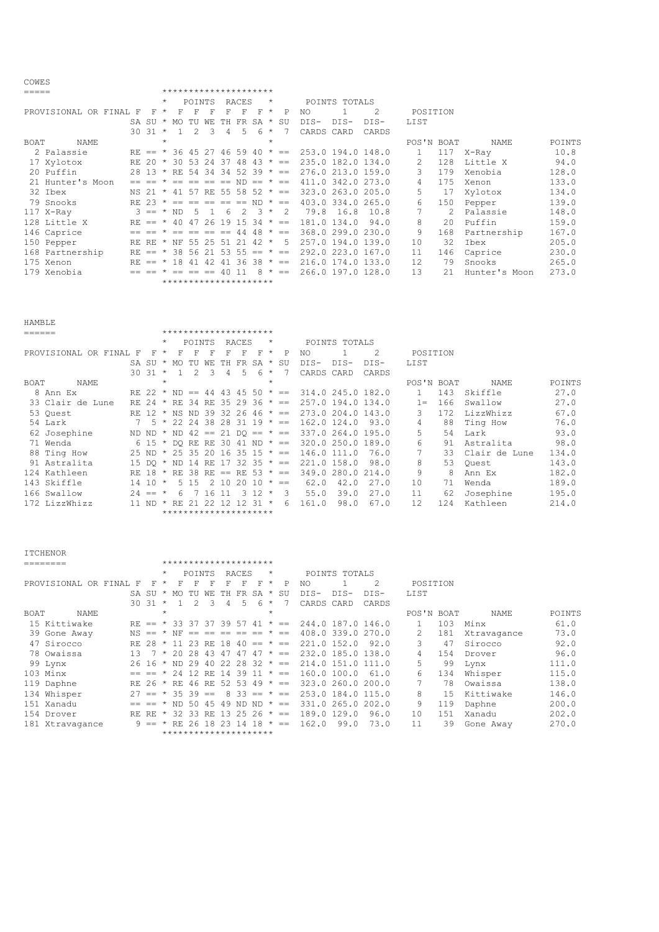| ===== |                        |  |                         |         |             |                |              | *********************                      |       |    |         |                                    |                                                    |               |                   |                 |     |                 |        |
|-------|------------------------|--|-------------------------|---------|-------------|----------------|--------------|--------------------------------------------|-------|----|---------|------------------------------------|----------------------------------------------------|---------------|-------------------|-----------------|-----|-----------------|--------|
|       |                        |  |                         | $\star$ |             | POINTS         |              |                                            | RACES |    | $\star$ |                                    |                                                    | POINTS TOTALS |                   |                 |     |                 |        |
|       | PROVISIONAL OR FINAL F |  |                         |         | $F \star F$ | F              | $\mathbb{F}$ | F                                          | F     | F  | $\star$ | P                                  | NO.                                                |               | $\mathcal{L}$     | POSITION        |     |                 |        |
|       |                        |  |                         |         |             |                |              | SA SU * MO TU WE TH FR SA * SU             |       |    |         |                                    | $DTS-$                                             | DTS-          | DTS-              | LIST            |     |                 |        |
|       |                        |  | $30\,31 \times 1\,2\,3$ |         |             |                |              | $\overline{4}$                             | $5 -$ | -6 | $\star$ |                                    | CARDS CARD                                         |               | CARDS             |                 |     |                 |        |
| BOAT  | NAME                   |  |                         | $\star$ |             |                |              |                                            |       |    | $\star$ |                                    |                                                    |               |                   | POS'N BOAT      |     | NAME            | POINTS |
|       | 2 Palassie             |  |                         |         |             |                |              |                                            |       |    |         | RE == $*$ 36 45 27 46 59 40 $*$ == | 253.0 194.0 148.0                                  |               |                   |                 |     | 117 X-Ray       | 10.8   |
|       | 17 Xylotox             |  |                         |         |             |                |              | RE 20 $\star$ 30 53 24 37 48 43 $\star$ == |       |    |         |                                    |                                                    |               | 235.0 182.0 134.0 | 2               | 128 | Little X        | 94.0   |
|       | 20 Puffin              |  |                         |         |             |                |              |                                            |       |    |         |                                    | 28 13 * RE 54 34 34 52 39 * == 276.0 213.0 159.0   |               |                   | 3               | 179 | Xenobia         | 128.0  |
|       | 21 Hunter's Moon       |  |                         |         |             |                |              |                                            |       |    |         |                                    | $== == * == == == == ND == * == 411.0 342.0 273.0$ |               |                   | 4               | 175 | Xenon           | 133.0  |
|       | 32 Ibex                |  |                         |         |             |                |              | NS 21 * 41 57 RE 55 58 52 * ==             |       |    |         |                                    | 323.0 263.0 205.0                                  |               |                   | 5               |     | 17 Xylotox      | 134.0  |
|       | 79 Snooks              |  |                         |         |             |                |              | RE 23 $* == == == == ==$ ND $* ==$         |       |    |         |                                    |                                                    |               | 403.0 334.0 265.0 | 6               | 150 | Pepper          | 139.0  |
|       | 117 X-Ray              |  | $3 == * ND$             |         |             | 5 <sup>5</sup> |              | $1\quad 6\quad 2\quad 3\quad *\quad 2$     |       |    |         |                                    | 79.8 16.8                                          |               | 10.8              | $7^{\circ}$     |     | 2 Palassie      | 148.0  |
|       | 128 Little X           |  |                         |         |             |                |              | RE == $*$ 40 47 26 19 15 34 $*$ ==         |       |    |         |                                    | 181.0 134.0                                        |               | 94.0              | 8               | 20  | Puffin          | 159.0  |
|       | 146 Caprice            |  | $==$ $==$ $*$           |         |             |                |              | $== == == == 44 48 * ==$                   |       |    |         |                                    |                                                    |               | 368.0 299.0 230.0 | 9               |     | 168 Partnership | 167.0  |
|       | 150 Pepper             |  |                         |         |             |                |              | RE RE * NF 55 25 51 21 42 * 5              |       |    |         |                                    |                                                    |               | 257.0 194.0 139.0 | 10              | 32  | Ibex            | 205.0  |
|       | 168 Partnership        |  |                         |         |             |                |              | RE == $*$ 38 56 21 53 55 == $*$ ==         |       |    |         |                                    |                                                    |               | 292.0 223.0 167.0 | 11              | 146 | Caprice         | 230.0  |
|       | 175 Xenon              |  |                         |         |             |                |              | RE == $*$ 18 41 42 41 36 38 $*$ ==         |       |    |         |                                    |                                                    |               | 216.0 174.0 133.0 | 12 <sup>°</sup> | 79  | Snooks          | 265.0  |
|       | 179 Xenobia            |  |                         |         |             |                |              | $== == * == == == 40 11$                   |       |    |         | $8 * =$                            | 266.0 197.0 128.0                                  |               |                   | 13              | 21  | Hunter's Moon   | 273.0  |
|       |                        |  |                         |         |             |                |              | *********************                      |       |    |         |                                    |                                                    |               |                   |                 |     |                 |        |

| HAMBLE |                        |             |         |     |               |     |      |                                   |    |         |       |            |               |                   |            |      |               |        |
|--------|------------------------|-------------|---------|-----|---------------|-----|------|-----------------------------------|----|---------|-------|------------|---------------|-------------------|------------|------|---------------|--------|
| ====== |                        |             |         |     |               |     |      | *********************             |    |         |       |            |               |                   |            |      |               |        |
|        |                        |             | $\star$ |     | POINTS        |     |      | RACES                             |    | $\star$ |       |            | POINTS TOTALS |                   |            |      |               |        |
|        | PROVISIONAL OR FINAL F | F           | $\star$ | F   |               | F   | F    | F                                 | F  | $\star$ | P     | NO.        |               | 2                 | POSITION   |      |               |        |
|        |                        | SA SU       | $\star$ | MO. | TU            | WF. | TН   | FR.                               | SA | $+$     | SU    | $DIS-$     | DIS-          | DIS-              | LIST       |      |               |        |
|        |                        | 30 31       | $\star$ |     | $\mathcal{P}$ | 3   | 4    | 5                                 | 6. | $\star$ |       | CARDS CARD |               | CARDS             |            |      |               |        |
| BOAT   | NAME                   |             | $\star$ |     |               |     |      |                                   |    | $\star$ |       |            |               |                   | POS'N BOAT |      | <b>NAME</b>   | POINTS |
|        | 8 Ann Ex               | RF 22       | $\star$ | ND. | $=$           | 44  |      | 43 45 50                          |    | $\star$ | $= -$ |            |               | 314.0 245.0 182.0 |            | 143  | Skiffle       | 27.0   |
|        | 33 Clair de Lune       | RE 24       | $\star$ | RE. | -34           | RE. |      | $352936 \times =$                 |    |         |       |            |               | 257.0 194.0 134.0 | $1 =$      | 166  | Swallow       | 27.0   |
|        | 53 Ouest               | $RR$ 12 $*$ |         | NS. | ND.           | 39  |      | $32\ 26\ 46 \times ==$            |    |         |       |            |               | 273.0 204.0 143.0 | 3          | 172  | LizzWhizz     | 67.0   |
|        | 54 Lark                | .5          | $\star$ |     | 22.24         | 38  |      | $28$ 31 19 $* ==$                 |    |         |       |            | 162.0124.0    | 93.0              | 4          | 88   | Ting How      | 76.0   |
|        | 62 Josephine           | ND ND *     |         | ND. |               |     |      | $42 == 21 DO == * ==$             |    |         |       |            |               | 337.0 264.0 195.0 | 5.         | 54   | Lark          | 93.0   |
|        | 71 Wenda               |             |         |     |               |     |      | 6 15 $*$ DO RE RE 30 41 ND $* ==$ |    |         |       |            |               | 320.0 250.0 189.0 | б.         | 91   | Astralita     | 98.0   |
|        | 88 Ting How            |             |         |     |               |     |      | 25 ND * 25 35 20 16 35 15 * ==    |    |         |       |            | 146.0 111.0   | 76.0              |            | 33   | Clair de Lune | 134.0  |
|        | 91 Astralita           | 15 DO       | $\star$ | ND. | 14            | RE. |      | $17$ 32 35 $\star$ ==             |    |         |       |            | 221.0 158.0   | 98.0              | 8          | 53   | Ouest         | 143.0  |
|        | 124 Kathleen           | RF 18       | $\star$ | RE. | -38           | RE. | $==$ | RE 53 $* ==$                      |    |         |       | 349.0      | 280.0         | 214.0             | 9          | 8    | Ann Ex        | 182.0  |
|        | 143 Skiffle            | 14 10       | $\star$ | 5.  | 1.5           | 2   | 10   | 2.0                               | 10 | $\star$ | $=$   | 62.0       | 42.0          | 27.0              | 10         | 71   | Wenda         | 189.0  |
|        | 166 Swallow            | $24 ==$     | $\star$ | 6   |               | 16  | 11   | $\mathcal{B}$                     | 12 | $\star$ | 3     | 55.0       | 39.0          | 27.0              | 11         | 62   | Josephine     | 195.0  |
|        | $172$ LizzWhizz        | 11 ND       | $\star$ | RE. |               | フフ  | 12   | 12                                | 31 | $\star$ | 6     | 161.0      | 98.0          | 67.0              | 12.        | 12.4 | Kathleen      | 214.0  |
|        |                        |             |         |     |               |     |      | *********************             |    |         |       |            |               |                   |            |      |               |        |

|             | <b>ITCHENOR</b>        |    |                                |         |     |                                                                                                                                                                                                                                                           |     |           |                 |        |         |              |             |               |                   |              |     |             |        |
|-------------|------------------------|----|--------------------------------|---------|-----|-----------------------------------------------------------------------------------------------------------------------------------------------------------------------------------------------------------------------------------------------------------|-----|-----------|-----------------|--------|---------|--------------|-------------|---------------|-------------------|--------------|-----|-------------|--------|
|             | ________               |    |                                |         |     | *********************                                                                                                                                                                                                                                     |     |           |                 |        |         |              |             |               |                   |              |     |             |        |
|             |                        |    |                                | $\star$ |     | POINTS                                                                                                                                                                                                                                                    |     |           | RACES           |        | $\star$ |              |             | POINTS TOTALS |                   |              |     |             |        |
|             | PROVISIONAL OR FINAL F |    | F                              | $\star$ | F   | F                                                                                                                                                                                                                                                         | F   |           | F               | F      | $\star$ | $_{\rm P}$   | NO.         |               | 2                 | POSITION     |     |             |        |
|             |                        |    | SA SU                          | $\star$ | MO. | TU                                                                                                                                                                                                                                                        | WF. | TН        | FR.             | $SA *$ |         | SU           | $DTS-$      | $DTS-$        | DIS-              | <b>LIST</b>  |     |             |        |
|             |                        |    | 30 31                          | $\star$ |     |                                                                                                                                                                                                                                                           | 3   | 4         | 5.              | 6      | $\star$ |              | CARDS       | CARD          | CARDS             |              |     |             |        |
| <b>BOAT</b> | NAME                   |    |                                | $\star$ |     |                                                                                                                                                                                                                                                           |     |           |                 |        | $\star$ |              |             |               |                   | POS'N BOAT   |     | NAME        | POINTS |
|             | 15 Kittiwake           |    | $RE == * 33 37 37 39 57$       |         |     |                                                                                                                                                                                                                                                           |     |           |                 | 41     |         | $\star$ ==   |             |               | 244.0 187.0 146.0 | $\mathbf{1}$ | 103 | Minx        | 61.0   |
|             | 39 Gone Away           |    | $NS == * NF$                   |         |     | $\begin{array}{ccc} \hline \end{array} \begin{array}{ccc} \hline \end{array} & \begin{array}{ccc} \hline \end{array} & \begin{array}{ccc} \hline \end{array} & \begin{array}{ccc} \hline \end{array} & \begin{array}{ccc} \hline \end{array} \end{array}$ |     | $= - - -$ |                 | $=$    |         | $\star$ $==$ |             |               | 408.0 339.0 270.0 | 2            | 181 | Xtravagance | 73.0   |
|             | 47 Sirocco             |    | $RF$ 28 $*$                    |         | 11  | 23 RE 18                                                                                                                                                                                                                                                  |     |           | $40 == * ==$    |        |         |              | 221.0 152.0 |               | 92.0              | 3            | 47  | Sirocco     | 92.0   |
|             | 78 Owaissa             |    | $13 \quad 7$                   | $\star$ | 20  | 2.8                                                                                                                                                                                                                                                       | 43  | 47        | 47              | 47     |         | $* =$        |             |               | 232.0 185.0 138.0 | 4            | 154 | Drover      | 96.0   |
|             | 99 Lynx                |    | 26 16 * ND 29 40 22 28 32 * == |         |     |                                                                                                                                                                                                                                                           |     |           |                 |        |         |              |             |               | 214.0 151.0 111.0 | 5.           | 99  | Lynx        | 111.0  |
|             | 103 Minx               |    | $== == *$                      |         |     | 24 12 RE 14 39 11 $* ==$                                                                                                                                                                                                                                  |     |           |                 |        |         |              | 160.0 100.0 |               | 61.0              | 6            | 134 | Whisper     | 115.0  |
|             | 119 Daphne             |    | RE 26 *                        |         |     | RE 46 RE                                                                                                                                                                                                                                                  |     |           | 52 53 49        |        |         | $\star$ $=$  |             |               | 323.0 260.0 200.0 |              | 78  | Owaissa     | 138.0  |
|             | 134 Whisper            | 27 | $=$ $*$                        |         |     | $35 \, 39 ==$                                                                                                                                                                                                                                             |     |           | $8\,33 == * ==$ |        |         |              |             |               | 253.0 184.0 115.0 | 8            | 1.5 | Kittiwake   | 146.0  |
|             | 151 Xanadu             |    |                                |         | ND. | 50                                                                                                                                                                                                                                                        | 45  | 49        | ND ND           |        |         | $\star$ $=$  |             |               | 331.0 265.0 202.0 | 9            | 119 | Daphne      | 200.0  |
|             | 154 Drover             |    | RE RE                          |         | 32  | 33                                                                                                                                                                                                                                                        | RE. | 13        | 2526            |        |         | $\star$ $=$  | 189.0 129.0 |               | 96.0              | 10           | 151 | Xanadu      | 202.0  |
|             | 181 Xtravagance        |    | $9 = $                         |         | RF. | 26                                                                                                                                                                                                                                                        | 18  | 23        | $\perp$ 4       | 18     |         | $\star$ $==$ | 162.0       | 99.0          | 73.0              | 11           | 39  | Gone Away   | 270.0  |
|             |                        |    |                                |         |     | *********************                                                                                                                                                                                                                                     |     |           |                 |        |         |              |             |               |                   |              |     |             |        |

COWES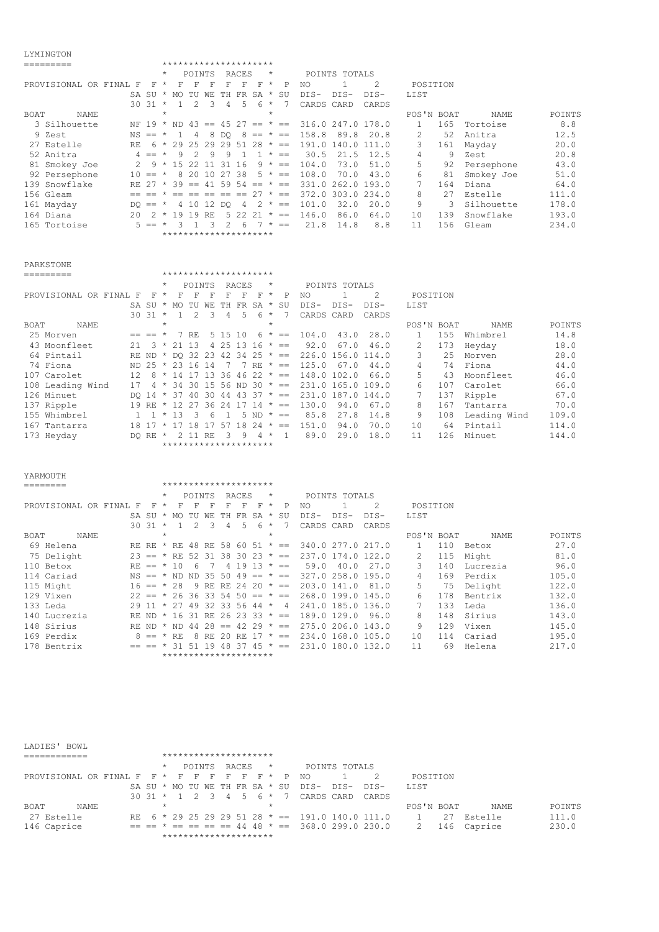### LYMINGTON

|                        |               |               |         | *********************              |               |     |                |       |             |         |              |                   |               |                   |               |     |            |        |
|------------------------|---------------|---------------|---------|------------------------------------|---------------|-----|----------------|-------|-------------|---------|--------------|-------------------|---------------|-------------------|---------------|-----|------------|--------|
|                        |               |               | $\star$ |                                    | POINTS        |     |                | RACES |             | $\star$ |              |                   | POINTS TOTALS |                   |               |     |            |        |
| PROVISIONAL OR FINAL F |               | F             | $\star$ | F                                  | F             | F   | F              | F     | F           | $\star$ | P            | NO                |               | 2                 | POSITION      |     |            |        |
|                        | SA SU         |               |         | * MO TU WE TH FR SA * SU           |               |     |                |       |             |         |              | DIS-              | DTS-          | DTS-              | LIST          |     |            |        |
|                        |               | $30.31$ *     |         |                                    | $\mathcal{P}$ | २   | $\overline{4}$ | 5.    | 6           | $\star$ |              | CARDS CARD        |               | CARDS             |               |     |            |        |
| BOAT<br>NAME           |               |               | $\star$ |                                    |               |     |                |       |             | $\star$ |              |                   |               |                   | POS'N BOAT    |     | NAME       | POINTS |
| 3 Silhouette           |               |               |         | NF 19 $*$ ND 43 == 45 27 == $*$ == |               |     |                |       |             |         |              | 316.0 247.0 178.0 |               |                   |               | 165 | Tortoise   | 8.8    |
| 9 Zest                 |               | $NS == *$     |         |                                    | 4             | 8   | DO.            |       | $8 == * ==$ |         |              | 158.8             | 89.8          | 20.8              | $\mathcal{L}$ | 52  | Anitra     | 12.5   |
| 27 Estelle             | RF.           |               | 6 *     | 29 25 29 29 51                     |               |     |                |       | 2.8         |         | $\star$ $=$  | 191.0             | 140.0         | 111.0             | 3             | 161 | Mayday     | 20.0   |
| 52 Anitra              |               | $4 =$ $\star$ |         | 9                                  | $\mathcal{P}$ | 9   | 9              |       |             | $\star$ | $=$          | 30.5              | 21.5          | 12.5              | 4             | 9   | Zest       | 20.8   |
| 81 Smokey Joe          | $\mathcal{P}$ |               |         | $9 * 152211$                       |               |     | 31             | 16    |             |         | $9 * =$      | 104.0             | 73.0          | 51.0              | 5.            | 92  | Persephone | 43.0   |
| 92 Persephone          |               | $10 == *$     |         |                                    | 8 20          | 10  | 27             | -38   |             | $5 *$   | $=$          | 108.0             | 70.0          | 43.0              | 6             | 81  | Smokey Joe | 51.0   |
| 139 Snowflake          | RE 27         |               | $\star$ | 39                                 | $= -$         | -41 | 59 54          |       | $=$         |         | $\star$ ==   |                   |               | 331.0 262.0 193.0 |               | 164 | Diana      | 64.0   |
| 156 Gleam              |               |               |         |                                    |               |     | $= -$          | $=$   | 27          |         | $\star$ $==$ |                   |               | 372.0 303.0 234.0 | 8             | 27  | Estelle    | 111.0  |
| 161 Mayday             |               | $DO == *$     |         |                                    | 4 10 12       |     | DO.            | 4     |             |         | $2 * =$      | 101.0             | 32.0          | 20.0              | 9             | 3   | Silhouette | 178.0  |
| 164 Diana              | 20            | $\mathcal{P}$ | $\star$ | 19                                 | 19            | RE  |                | 5 22  | 2.1         |         | $\star$ $=$  | 146.0             | 86.0          | 64.0              | 10            | 139 | Snowflake  | 193.0  |
| 165 Tortoise           |               | $5 == *$      |         |                                    |               |     |                | 6     |             |         | $\star$ $=$  | 21.8              | 14.8          | 8.8               | 11            | 156 | Gleam      | 234.0  |
|                        |               |               |         | *********************              |               |     |                |       |             |         |              |                   |               |                   |               |     |            |        |

PARKSTONE

| PROVISIONAL OR FINAL F |   | F                 | F                                                                                                                                                                          | F                                                | F                  | F             | F       |                                            | P                                                                                                     | NO.                                                                                                                                                                                                           |      | 2                         |                                                                              |     |                        |                             |
|------------------------|---|-------------------|----------------------------------------------------------------------------------------------------------------------------------------------------------------------------|--------------------------------------------------|--------------------|---------------|---------|--------------------------------------------|-------------------------------------------------------------------------------------------------------|---------------------------------------------------------------------------------------------------------------------------------------------------------------------------------------------------------------|------|---------------------------|------------------------------------------------------------------------------|-----|------------------------|-----------------------------|
|                        |   |                   | TU                                                                                                                                                                         | WF.                                              | TH.                |               |         |                                            |                                                                                                       | DIS-                                                                                                                                                                                                          | DIS- | DTS-                      | LIST                                                                         |     |                        |                             |
|                        |   |                   | $\mathcal{P}$                                                                                                                                                              | २                                                | 4                  | 5             | 6       |                                            |                                                                                                       |                                                                                                                                                                                                               |      | CARDS                     |                                                                              |     |                        |                             |
|                        |   |                   |                                                                                                                                                                            |                                                  |                    |               |         | $\star$                                    |                                                                                                       |                                                                                                                                                                                                               |      |                           |                                                                              |     | NAME                   | POINTS                      |
|                        |   |                   |                                                                                                                                                                            |                                                  |                    |               |         |                                            |                                                                                                       | 104.0                                                                                                                                                                                                         | 43.0 | 28.0                      |                                                                              | 155 | Whimbrel               | 14.8                        |
| 2.1                    | 3 |                   |                                                                                                                                                                            |                                                  |                    |               |         |                                            |                                                                                                       | 92.0                                                                                                                                                                                                          | 67.0 | 46.0                      | 2.                                                                           | 173 | Heyday                 | 18.0                        |
|                        |   |                   |                                                                                                                                                                            |                                                  |                    |               |         |                                            |                                                                                                       |                                                                                                                                                                                                               |      |                           | 3                                                                            | 2.5 | Morven                 | 28.0                        |
|                        |   |                   |                                                                                                                                                                            |                                                  |                    |               |         |                                            |                                                                                                       | 125.0                                                                                                                                                                                                         | 67.0 | 44.0                      | 4                                                                            | 74  | Fiona                  | 44.0                        |
| 12.                    |   |                   |                                                                                                                                                                            |                                                  |                    |               |         |                                            |                                                                                                       |                                                                                                                                                                                                               |      | 66.0                      | 5.                                                                           | 43  | Moonfleet              | 46.0                        |
| 17                     |   |                   |                                                                                                                                                                            |                                                  |                    |               |         |                                            |                                                                                                       |                                                                                                                                                                                                               |      |                           | 6                                                                            | 107 | Carolet                | 66.0                        |
|                        |   |                   |                                                                                                                                                                            |                                                  |                    |               |         |                                            |                                                                                                       |                                                                                                                                                                                                               |      |                           |                                                                              | 137 |                        | 67.0                        |
|                        |   |                   | 27                                                                                                                                                                         |                                                  | 24                 |               |         |                                            |                                                                                                       | 130.0                                                                                                                                                                                                         | 94.0 | 67.0                      | 8                                                                            | 167 | Tantarra               | 70.0                        |
|                        |   |                   | 3                                                                                                                                                                          | 6                                                |                    | 5             |         |                                            |                                                                                                       | 85.8                                                                                                                                                                                                          | 27.8 | 14.8                      | 9                                                                            | 108 | Leading Wind           | 109.0                       |
| 18                     |   |                   | ∣8                                                                                                                                                                         |                                                  | 57                 | 18            |         | $\star$                                    |                                                                                                       | 151.0                                                                                                                                                                                                         | 94.0 | 70.0                      | 10                                                                           | 64  |                        | 114.0                       |
|                        |   |                   |                                                                                                                                                                            | RF.                                              |                    | 9             |         |                                            |                                                                                                       | 89.0                                                                                                                                                                                                          | 29.0 | 18.0                      | 11                                                                           | 126 |                        | 144.0                       |
|                        |   |                   |                                                                                                                                                                            |                                                  |                    |               |         |                                            |                                                                                                       |                                                                                                                                                                                                               |      |                           |                                                                              |     |                        |                             |
|                        |   | F.<br>SA SU<br>-8 | $\star$<br>$\star$<br>$\star$<br>$30.31$ *<br>$\star$<br>$=$ $=$ $+$<br>$\star$<br>14<br>$\star$<br>$4 *$<br>DO 14 $*$<br>19 RF *<br>13<br>$\star$<br>$\star$<br>DO RE $*$ | MO.<br>7 RE<br>21 13<br>12 <sub>1</sub><br>2 1 1 | ND $25 * 23$ 16 14 | POINTS<br>-36 | 5 15 10 | RACES<br>4 25 13 16<br>17 14<br>ND.<br>2.4 | *********************<br>$\star$<br>$\star$<br>$\star$<br>$\star$<br>$\star$<br>********************* | FR SA * SU<br>$6 * ==$<br>$\star$ ==<br>RE ND * DO 32 23 42 34 25 * ==<br>$7 \t7 \tRF * ==$<br>$17$ 13 36 46 22 * ==<br>34 30 15 56 ND 30 $* ==$<br>37 40 30 44 43 37 $\star$ ==<br>$=$<br>$\star$ $=$<br>$=$ |      | CARDS CARD<br>148.0 102.0 | POINTS TOTALS<br>226.0 156.0 114.0<br>231.0 165.0 109.0<br>231.0 187.0 144.0 |     | POSITION<br>POS'N BOAT | Ripple<br>Pintail<br>Minuet |

| YARMOUTH               |       |              |         |                         |        |               |                |                |         |         |              |             |               |                   |                |     |             |        |
|------------------------|-------|--------------|---------|-------------------------|--------|---------------|----------------|----------------|---------|---------|--------------|-------------|---------------|-------------------|----------------|-----|-------------|--------|
|                        |       |              |         | *********************   |        |               |                |                |         |         |              |             |               |                   |                |     |             |        |
|                        |       |              | $\star$ |                         | POINTS |               |                | RACES          |         | $\star$ |              |             | POINTS TOTALS |                   |                |     |             |        |
| PROVISIONAL OR FINAL F |       | F            | $\star$ | F                       | F      | F             | F              | F              | F       | $\star$ | $_{\rm P}$   | NO.         |               | 2                 | POSITION       |     |             |        |
|                        |       | SA SU        | $\star$ | MO                      | TU     | WЕ            | TH.            | FR.            | SA * SU |         |              | $DIS-$      | $DIS-$        | DTS-              | LIST           |     |             |        |
|                        |       | $30.31$ *    |         | $\overline{1}$          | 2      | $\mathcal{L}$ | 4              | 5.             | 6       | $\star$ |              | CARDS CARD  |               | CARDS             |                |     |             |        |
| BOAT<br>NAME           |       |              | $\star$ |                         |        |               |                |                |         | $\star$ |              |             |               |                   | POS'N BOAT     |     | <b>NAME</b> | POINTS |
| 69 Helena              | RE RE |              |         | $*$ RE                  |        |               | 48 RE 58       | 60 51          |         | $\star$ | $==$         |             |               | 340.0 277.0 217.0 |                | 110 | Betox       | 27.0   |
| 75 Delight             |       |              |         | $23 == * RE 52 31$      |        |               |                | 38 30 23       |         | $\star$ | $=$          |             |               | 237.0 174.0 122.0 | 2              | 115 | Might       | 81.0   |
| 110 Betox              |       | $RF = *$     |         | 1 N                     | 6      |               | $\overline{4}$ | 19 13          |         |         | $\star$ $=$  | 59.0        | 40.0          | 27.0              | $\mathcal{L}$  | 140 | Lucrezia    | 96.0   |
| 114 Cariad             |       |              |         | $NS == * ND ND 35 50$   |        |               |                | $49 ==$        |         |         | $\star$ ==   |             |               | 327.0 258.0 195.0 | $\overline{4}$ | 169 | Perdix      | 105.0  |
| 115 Might              |       | $16 == * 28$ |         |                         |        |               | 9 RE RE 24     |                | 20      |         | $\star$ $=$  | 203.0 141.0 |               | 81.0              | 5.             | 75  | Delight     | 122.0  |
| 129 Vixen              |       |              |         | $22 == * 2636335450 ==$ |        |               |                |                |         |         | $\star$ $==$ |             |               | 268.0 199.0 145.0 | 6.             | 178 | Bentrix     | 132.0  |
| 133 Leda               | 29 11 |              | $\star$ | 27                      |        |               |                | 49 32 33 56 44 |         | $\star$ | 4            |             |               | 241.0 185.0 136.0 |                | 133 | Leda        | 136.0  |
| 140 Lucrezia           | RE ND |              | $\star$ | 16                      |        |               |                | 31 RE 26 23 33 |         |         | $\star$ $=$  |             | 189.0 129.0   | 96.0              | 8              | 148 | Sirius      | 143.0  |
| 148 Sirius             | RE ND |              | $\star$ | ND.                     | 44     | 28            | $= -$          | 42             | 29      | $\star$ | $=$          |             |               | 275.0 206.0 143.0 | 9              | 129 | Vixen       | 145.0  |
| 169 Perdix             |       | $8 = * RE$   |         |                         |        | 8 RE          |                | 20 RE          |         |         | $\star$ $=$  |             |               | 234.0 168.0 105.0 | 10             | 114 | Cariad      | 195.0  |
| 178 Bentrix            |       |              |         | 31                      | 51     | 19            | 48             | - 37           | 45      | $\star$ | $=$          |             |               | 231.0 180.0 132.0 | 11             | 69  | Helena      | 217.0  |
|                        |       |              |         | *********************   |        |               |                |                |         |         |              |             |               |                   |                |     |             |        |

| LADIES' BOWL | *********************                                     |               |                         |        |
|--------------|-----------------------------------------------------------|---------------|-------------------------|--------|
|              | POINTS RACES<br>$\star$<br>$\star$                        | POINTS TOTALS |                         |        |
|              | PROVISIONAL OR FINAL F F * F F F F F F * P                | NO.           | POSITION                |        |
|              | SA SU $\star$ MO TU WE TH FR SA $\star$ SU DIS- DIS- DIS- |               | LIST                    |        |
|              | 30 31 * 1 2 3 4 5 6 * 7 CARDS CARD CARDS                  |               |                         |        |
| BOAT<br>NAME |                                                           |               | POS'N BOAT<br>NAME.     | POINTS |
| 27 Estelle   | RE $6 * 29 25 29 29 51 28 * == 191.0 140.0 111.0$         |               | Estelle<br>27           | 111.0  |
| 146 Caprice  | $== == * == == == == 4448 * == 368.0299.0230.0$           |               | $\sim$ 2<br>146 Caprice | 230.0  |
|              | *********************                                     |               |                         |        |